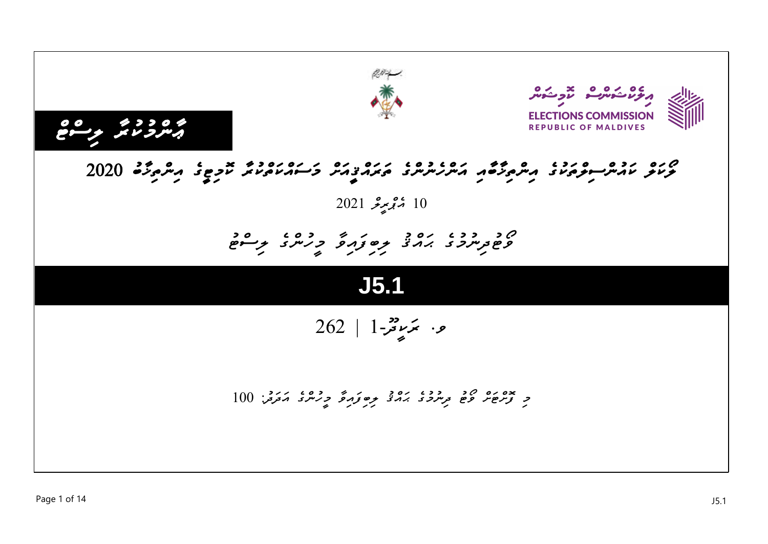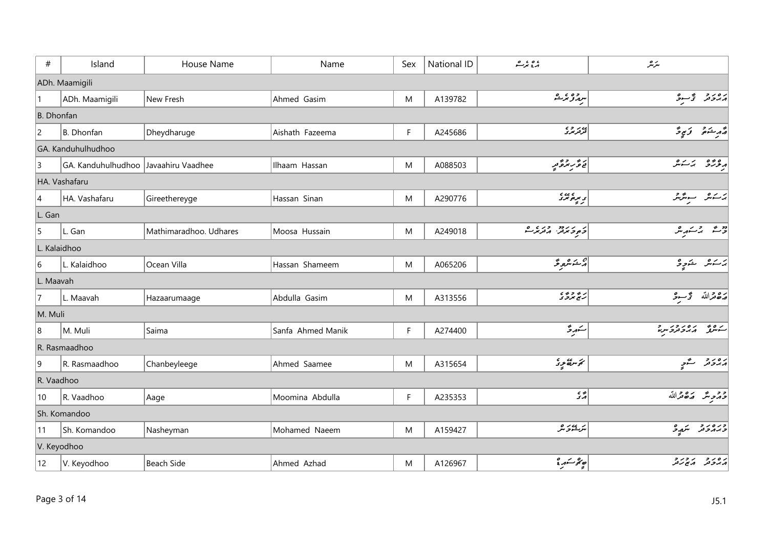| #                 | Island                               | House Name             | Name              | Sex         | National ID | ، ه ، ره<br>پر ، سرگ                     | ىئرىتر                               |
|-------------------|--------------------------------------|------------------------|-------------------|-------------|-------------|------------------------------------------|--------------------------------------|
|                   | ADh. Maamigili                       |                        |                   |             |             |                                          |                                      |
|                   | ADh. Maamigili                       | New Fresh              | Ahmed Gasim       | M           | A139782     | سروه ی ه<br>سر <i>و و</i> ترثیه          | رەرو ۋىرو                            |
| <b>B.</b> Dhonfan |                                      |                        |                   |             |             |                                          |                                      |
| $\vert$ 2         | B. Dhonfan                           | Dheydharuge            | Aishath Fazeema   | $\mathsf F$ | A245686     | دے پر و بے<br>قرقربحری                   | وكرمشكم وكالمح                       |
|                   | GA. Kanduhulhudhoo                   |                        |                   |             |             |                                          |                                      |
| 3                 | GA. Kanduhulhudhoo Javaahiru Vaadhee |                        | Ilhaam Hassan     | M           | A088503     | ئے قریر ترقم تیر                         | مرفرنرق برسكس                        |
|                   | HA. Vashafaru                        |                        |                   |             |             |                                          |                                      |
| $\vert 4 \vert$   | HA. Vashafaru                        | Gireethereyge          | Hassan Sinan      | M           | A290776     | ی در د د د<br>تر موجو مور                | ىرىكىش سونىرىش                       |
| L. Gan            |                                      |                        |                   |             |             |                                          |                                      |
| 5                 | L. Gan                               | Mathimaradhoo. Udhares | Moosa Hussain     | ${\sf M}$   | A249018     | ב ב ב ב - כ - 2<br>ב ב ב ב ב - ה ב ב ב - | وحث برستهر مثر                       |
| L. Kalaidhoo      |                                      |                        |                   |             |             |                                          |                                      |
| 6                 | L. Kalaidhoo                         | Ocean Villa            | Hassan Shameem    | ${\sf M}$   | A065206     | رم<br>مشاهیم محمد محمد                   | يركبش لمقروفة                        |
| L. Maavah         |                                      |                        |                   |             |             |                                          |                                      |
| 17                | L. Maavah                            | Hazaarumaage           | Abdulla Gasim     | ${\sf M}$   | A313556     | ر پر و پر ی<br>تر بع بوری                | مَدْهُ مَّرَاللَّهُ تَحْ - وَ        |
| M. Muli           |                                      |                        |                   |             |             |                                          |                                      |
| 8                 | M. Muli                              | Saima                  | Sanfa Ahmed Manik | F           | A274400     | سەرىخ                                    | سكس كالمرور ورادر                    |
|                   | R. Rasmaadhoo                        |                        |                   |             |             |                                          |                                      |
| 9                 | R. Rasmaadhoo                        | Chanbeyleege           | Ahmed Saamee      | ${\sf M}$   | A315654     | كوس كامرى                                | رەر ئەر                              |
| R. Vaadhoo        |                                      |                        |                   |             |             |                                          |                                      |
| $ 10\rangle$      | R. Vaadhoo                           | Aage                   | Moomina Abdulla   | F           | A235353     | پر ج                                     | وقروبتر كالهقرالله                   |
|                   | Sh. Komandoo                         |                        |                   |             |             |                                          |                                      |
| 11                | Sh. Komandoo                         | Nasheyman              | Mohamed Naeem     | ${\sf M}$   | A159427     | ىر يەر ھ<br>سرىشى <del>ر</del> ش         | ورەرو شھرو                           |
|                   | V. Keyodhoo                          |                        |                   |             |             |                                          |                                      |
| 12                | V. Keyodhoo                          | Beach Side             | Ahmed Azhad       | M           | A126967     | ھەممەر ئە                                | ג 2 ג 2 ג 2 ג 2<br>ג ג 2 ב ג ג ג ב ג |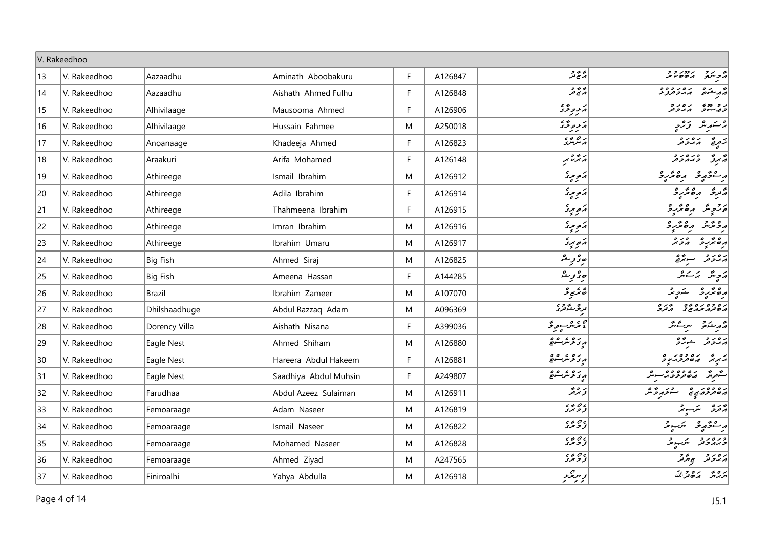|    | V. Rakeedhoo |                 |                       |           |         |                                         |                                              |
|----|--------------|-----------------|-----------------------|-----------|---------|-----------------------------------------|----------------------------------------------|
| 13 | V. Rakeedhoo | Aazaadhu        | Aminath Aboobakuru    | F         | A126847 | پر بر و<br>در سی تعر                    | 77777<br>أزوبترة                             |
| 14 | V. Rakeedhoo | Aazaadhu        | Aishath Ahmed Fulhu   | F         | A126848 | پر بر د<br>در سی تعر                    | و ده ده د و د و و و<br>د کار شوی د مار ترولو |
| 15 | V. Rakeedhoo | Alhivilaage     | Mausooma Ahmed        | F         | A126906 | <br>  مرعوقری                           | ر و دوءِ<br>وھاسوو<br>ەرەر د                 |
| 16 | V. Rakeedhoo | Alhivilaage     | Hussain Fahmee        | ${\sf M}$ | A250018 | ړېږو ژو                                 | يز ستهر شده و ترجيح به                       |
| 17 | V. Rakeedhoo | Anoanaage       | Khadeeja Ahmed        | F         | A126823 | لەتبەر                                  | زَمْرِيحٌ كَمَارُوْتَر                       |
| 18 | V. Rakeedhoo | Araakuri        | Arifa Mohamed         | F         | A126148 | لرمجرة ببر                              | ەتبىرىق<br>و ره ر د<br>تر پر تر تر           |
| 19 | V. Rakeedhoo | Athireege       | Ismail Ibrahim        | M         | A126912 | <br>  مەھوىيو ئە                        | ر عر و ده تر د                               |
| 20 | V. Rakeedhoo | Athireege       | Adila Ibrahim         | F         | A126914 | ر<br>د حومور                            | ړ دې ره پر د                                 |
| 21 | V. Rakeedhoo | Athireege       | Thahmeena Ibrahim     | F         | A126915 | ر<br>د حومور                            | وزويتر مقتربه                                |
| 22 | V. Rakeedhoo | Athireege       | Imran Ibrahim         | M         | A126916 | <br>  در هو مورځ                        |                                              |
| 23 | V. Rakeedhoo | Athireege       | Ibrahim Umaru         | M         | A126917 | ر<br>مرحومور                            | ەرھەتمەر 2<br>س<br>ەرىر                      |
| 24 | V. Rakeedhoo | Big Fish        | Ahmed Siraj           | M         | A126825 | <br> حوتو مشر                           | $rac{2}{3}$                                  |
| 25 | V. Rakeedhoo | <b>Big Fish</b> | Ameena Hassan         | F         | A144285 | ە ئەرىشە<br>ب                           | مَادِينٌ مَا يَسْتَمَسْ                      |
| 26 | V. Rakeedhoo | Brazil          | Ibrahim Zameer        | M         | A107070 | ە ئەيرى<br>                             | رەترىرو سەرتر                                |
| 27 | V. Rakeedhoo | Dhilshaadhuge   | Abdul Razzaq Adam     | M         | A096369 | و ه شگوند و <sup>ج</sup><br>مرگوشگوندی  | נס כס נס שם פנס<br>הסינה ינה של הינק         |
| 28 | V. Rakeedhoo | Dorency Villa   | Aishath Nisana        | F         | A399036 | م عمر مشروع محمد<br> <br>  عمر مرکز میر | أقمر منكفي المرستينكر                        |
| 29 | V. Rakeedhoo | Eagle Nest      | Ahmed Shiham          | ${\sf M}$ | A126880 | پر ئۇ شرىقى ھ                           | رەرە جەرمى                                   |
| 30 | V. Rakeedhoo | Eagle Nest      | Hareera Abdul Hakeem  | F         | A126881 | پر ئۇ شرىقى ھ                           | بریر ره ده در و                              |
| 31 | V. Rakeedhoo | Eagle Nest      | Saadhiya Abdul Muhsin | F         | A249807 | پروپر قيم                               |                                              |
| 32 | V. Rakeedhoo | Farudhaa        | Abdul Azeez Sulaiman  | M         | A126911 | ر و پر<br>تر برتر                       | גם כפגם בלתלים                               |
| 33 | V. Rakeedhoo | Femoaraage      | Adam Naseer           | M         | A126819 | ه ۵ پر د<br>او د بو د                   | پره سکېدنو                                   |
| 34 | V. Rakeedhoo | Femoaraage      | Ismail Naseer         | ${\sf M}$ | A126822 | ه ۵ پر و<br><b>او د</b> بور             | رىشۇر ئىر                                    |
| 35 | V. Rakeedhoo | Femoaraage      | Mohamed Naseer        | M         | A126828 | پر <i>م پر پ</i><br>  بو تر بو پر       | ورەرو شبرتى                                  |
| 36 | V. Rakeedhoo | Femoaraage      | Ahmed Ziyad           | ${\sf M}$ | A247565 | ء ۾ ۽ ۽<br>  و <del>د</del> برء         | د ۱۵ د حر پر پر د                            |
| 37 | V. Rakeedhoo | Finiroalhi      | Yahya Abdulla         | ${\sf M}$ | A126918 | وسرچرو                                  | برەپر رەمراللە                               |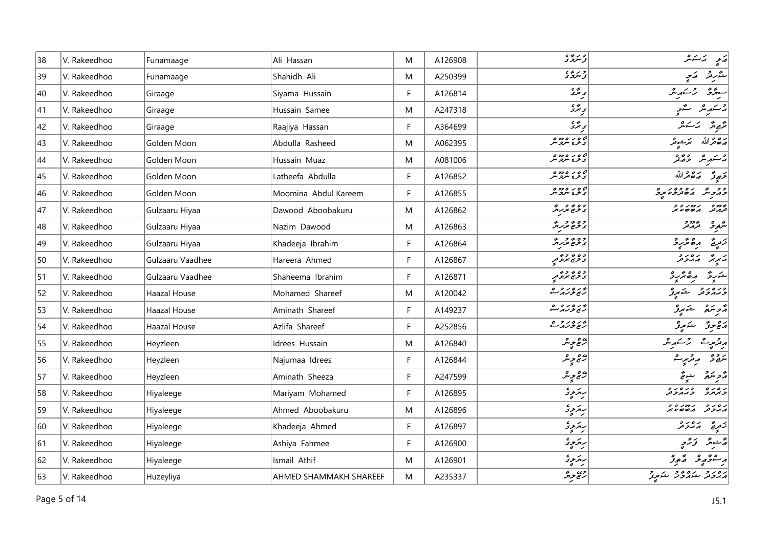| 38 | V. Rakeedhoo | Funamaage           | Ali Hassan             | M  | A126908 | و ر د د<br>توسرچ د                               | ړې پرېش                                                          |
|----|--------------|---------------------|------------------------|----|---------|--------------------------------------------------|------------------------------------------------------------------|
| 39 | V. Rakeedhoo | Funamaage           | Shahidh Ali            | M  | A250399 | و پر پر پر<br>توسر <del>ی</del> ر <sub>ت</sub> ح | ڪريز گرم                                                         |
| 40 | V. Rakeedhoo | Giraage             | Siyama Hussain         | F. | A126814 | ر مر<br>کا مگری                                  | سورة الاسكراني                                                   |
| 41 | V. Rakeedhoo | Giraage             | Hussain Samee          | M  | A247318 | تحييمون                                          | يز سنهر شر جميعتي المستحر                                        |
| 42 | V. Rakeedhoo | Giraage             | Raajiya Hassan         | F  | A364699 | و بو ء<br>و بور                                  | ترەپر ئەسەر                                                      |
| 43 | V. Rakeedhoo | Golden Moon         | Abdulla Rasheed        | M  | A062395 | ہ ہ ر ر و دو ہ<br>تح <b>ری</b> سرچ س             | مَدْهُ مَّرْسُومَّرْ                                             |
| 44 | V. Rakeedhoo | Golden Moon         | Hussain Muaz           | M  | A081006 | ہ ہ ر ر و دو ہ<br>تح <b>ری</b> سرچ س             | جر مشهر معرض وحريج و                                             |
| 45 | V. Rakeedhoo | Golden Moon         | Latheefa Abdulla       | F  | A126852 | ہ ور ورد و<br>تح <b>ری</b> سرچ س                 | تحجيوتر ضكاه تمرالله                                             |
| 46 | V. Rakeedhoo | Golden Moon         | Moomina Abdul Kareem   | F. | A126855 | ہ ور ودد و<br>تح <b>ری</b> سرچ س                 | כבב ה הסיניבטיקים                                                |
| 47 | V. Rakeedhoo | Gulzaaru Hiyaa      | Dawood Aboobakuru      | M  | A126862 | د ه ه پر د برگر<br>د څري تر برگر                 | پر دو و<br>تو پر تو<br>1 - 1 - 1 - 1<br>ג <i>ו</i> ם <i>ס</i> יג |
| 48 | V. Rakeedhoo | Gulzaaru Hiyaa      | Nazim Dawood           | M  | A126863 | و ه و و د و<br>د نومځ مرر دگر                    | پر دو و<br>تر <i>هر</i> تر<br>سَّنْعِرْ حَرْ                     |
| 49 | V. Rakeedhoo | Gulzaaru Hiyaa      | Khadeeja Ibrahim       | F  | A126864 | و ه په و<br>د نوم مربرگ                          | زَمدِيَّ<br>س<br>مەھترىرى                                        |
| 50 | V. Rakeedhoo | Gulzaaru Vaadhee    | Hareera Ahmed          | F  | A126867 | و ه پر د محمد پر<br>د نومځ مرغ پر                | برىيەتتە<br>ەر دىر                                               |
| 51 | V. Rakeedhoo | Gulzaaru Vaadhee    | Shaheema Ibrahim       | F  | A126871 | و ه و بو و د تور<br>د نژيخ مرگور                 | ەرھەترىر <sup>9</sup><br>ے کے ر <sup>م</sup> حہ ک                |
| 52 | V. Rakeedhoo | <b>Haazal House</b> | Mohamed Shareef        | M  | A120042 | پەر ەر دەر                                       | و ر ه ر د<br>تر پر تر تر<br>شەھرى                                |
| 53 | V. Rakeedhoo | <b>Haazal House</b> | Aminath Shareef        | F  | A149237 | پەرەر دەر                                        | پ <sup>و</sup> پر سرچ<br>م<br>ے مور<br>م                         |
| 54 | V. Rakeedhoo | Haazal House        | Azlifa Shareef         | F  | A252856 | پەرە روپە<br>رىج بۇرۇپ                           | شەمرۇ<br>ىر چ <sub>م</sub> وتر                                   |
| 55 | V. Rakeedhoo | Heyzleen            | Idrees Hussain         | M  | A126840 | بر چ <sub>مح</sub> بشر                           | ىر قرىبە مە<br>س                                                 |
| 56 | V. Rakeedhoo | Heyzleen            | Najumaa Idrees         | F  | A126844 | ،، ه پر پر<br>س                                  | سرديح                                                            |
| 57 | V. Rakeedhoo | Heyzleen            | Aminath Sheeza         | F. | A247599 | ئەنج مۇيىگە                                      | أثر جريئتمو<br>سنبوجج                                            |
| 58 | V. Rakeedhoo | Hiyaleege           | Mariyam Mohamed        | F  | A126895 | رېز پوت <sup>ې</sup>                             | و رە ر د<br><i>د بر</i> گرىز<br>ر ه ر ه<br><del>د</del> بربرگ    |
| 59 | V. Rakeedhoo | Hiyaleege           | Ahmed Aboobakuru       | M  | A126896 | رېز پوت <sup>ې</sup>                             | נחינים<br>גם סיטיב<br>پر ور و                                    |
| 60 | V. Rakeedhoo | Hiyaleege           | Khadeeja Ahmed         | F  | A126897 | رېزىر                                            | برور و<br>تزمرچَّ                                                |
| 61 | V. Rakeedhoo | Hiyaleege           | Ashiya Fahmee          | F  | A126900 | رېزېږ                                            | وگە شەدىگر<br>م<br>توريح                                         |
| 62 | V. Rakeedhoo | Hiyaleege           | Ismail Athif           | M  | A126901 | رېزىپە <sup>ي</sup>                              | برحوثه ومجوز                                                     |
| 63 | V. Rakeedhoo | Huzeyliya           | AHMED SHAMMAKH SHAREEF | M  | A235337 | دي <sub>مري</sub> ر<br>رسم مرير                  | رەر دېم دەۋر ئەيرۇ                                               |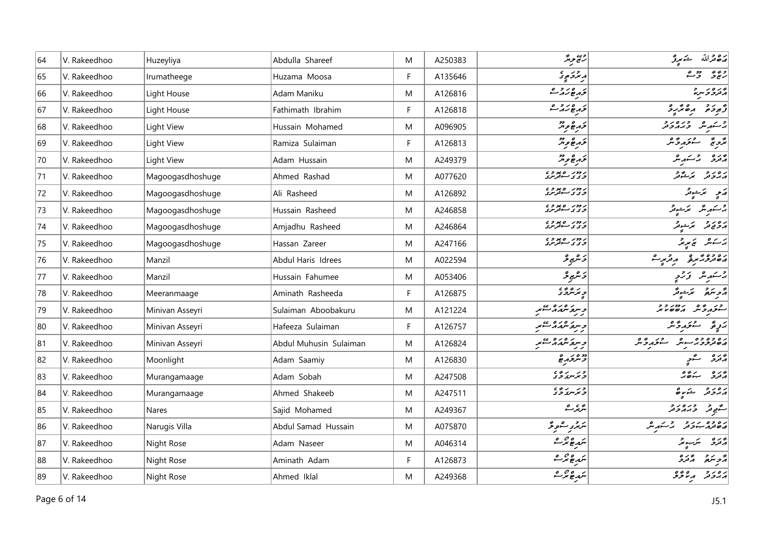| 64 | V. Rakeedhoo | Huzeyliya         | Abdulla Shareef        | M  | A250383 | دیم عروش                                     | پرځتمرالله څ <i>ومونو</i>                                  |
|----|--------------|-------------------|------------------------|----|---------|----------------------------------------------|------------------------------------------------------------|
| 65 | V. Rakeedhoo | Irumatheege       | Huzama Moosa           | F  | A135646 | ېر بر دې<br>بر برد م <sub>و</sub> ر          | دیږی دوسته                                                 |
| 66 | V. Rakeedhoo | Light House       | Adam Maniku            | M  | A126816 | خرج ئەزم                                     | پر ده ر<br>پر ترو <del>و</del> سربا                        |
| 67 | V. Rakeedhoo | Light House       | Fathimath Ibrahim      | F. | A126818 | خەرقە ئەرقى                                  | ژوده مقتر                                                  |
| 68 | V. Rakeedhoo | Light View        | Hussain Mohamed        | M  | A096905 | تزره ود                                      | وكرمر ورودو                                                |
| 69 | V. Rakeedhoo | Light View        | Ramiza Sulaiman        | F  | A126813 | ב הפיקידים<br>המפיקידים                      | ترويج سنؤرقر                                               |
| 70 | V. Rakeedhoo | <b>Light View</b> | Adam Hussain           | M  | A249379 | خرموه دد                                     | وره چرک پر                                                 |
| 71 | V. Rakeedhoo | Magoogasdhoshuge  | Ahmed Rashad           | M  | A077620 | ر دور ۲۵۰۰ و ٤<br>تر ی ی کسوفرمری            | رەر دىرىدى<br>مەروىس ئىرىشەتر                              |
| 72 | V. Rakeedhoo | Magoogasdhoshuge  | Ali Rasheed            | M  | A126892 | ر دور _ ہے و ۽<br>تر ي ي سسور مري            | أەكىم ئىم ئىشوقر                                           |
| 73 | V. Rakeedhoo | Magoogasdhoshuge  | Hussain Rasheed        | M  | A246858 | ر دور ۱۵ پو و د<br>۲ ژ ژ کسونورو             | رحم المستحر المتحر المستحر                                 |
| 74 | V. Rakeedhoo | Magoogasdhoshuge  | Amjadhu Rasheed        | M  | A246864 | ر دد ر_ه پر و ء<br>تر ی ی سستمبر دی          | رەر دېگرىشون<br>در تارىخ                                   |
| 75 | V. Rakeedhoo | Magoogasdhoshuge  | Hassan Zareer          | M  | A247166 | ر دد بر ۱۵ پر و د<br>تر ی ی سسوترمری         | <br> پرستمبر ہے پر پر                                      |
| 76 | V. Rakeedhoo | Manzil            | Abdul Haris Idrees     | M  | A022594 | 5 ئىرى پى                                    | رەدە ئورگىرۇ مەرگىرى                                       |
| 77 | V. Rakeedhoo | Manzil            | Hussain Fahumee        | M  | A053406 | ځ شمېر څه                                    | يزحكم وترجي                                                |
| 78 | V. Rakeedhoo | Meeranmaage       | Aminath Rasheeda       | F  | A126875 | ج پر ۵ پر ی                                  | مەمەسىمى ئىكە ئىگە                                         |
| 79 | V. Rakeedhoo | Minivan Asseyri   | Sulaiman Aboobakuru    | M  | A121224 | حەسرى مەركەت<br>مەركە مەركەت مىس             | בלגלים נמנים                                               |
| 80 | V. Rakeedhoo | Minivan Asseyri   | Hafeeza Sulaiman       | F. | A126757 | و سره سره ده شومر                            | يَرْرٍ هُمْ السَّخْرَ مِرْدَّ سْر                          |
| 81 | V. Rakeedhoo | Minivan Asseyri   | Abdul Muhusin Sulaiman | M  | A126824 | ا <i>د</i> سره شمکره کشور<br>مربع شمکره کشور | رە دە دە بەھ بەر دە بەھ<br>مەھەر <i>بەر بەر بەر ئە</i> بار |
| 82 | V. Rakeedhoo | Moonlight         | Adam Saamiy            | M  | A126830 | ومرتزرة                                      | پژره<br>د ترو<br>ستجمو                                     |
| 83 | V. Rakeedhoo | Murangamaage      | Adam Sobah             | M  | A247508 | و ر<br>تر تر سر کر د                         | بەۋە<br>پەر ە<br>مەنىرى                                    |
| 84 | V. Rakeedhoo | Murangamaage      | Ahmed Shakeeb          | M  | A247511 | د بر بر د و ،<br>تر بر بیر تر د              | رەرد خىرە                                                  |
| 85 | V. Rakeedhoo | <b>Nares</b>      | Sajid Mohamed          | M  | A249367 | متزبر م                                      | ه و دره دو                                                 |
| 86 | V. Rakeedhoo | Narugis Villa     | Abdul Samad Hussain    | M  | A075870 | ىئرىزى <sub>ر</sub> سى <sub>مو</sub> ىخە     | ره وه رر و و حسکه ش                                        |
| 87 | V. Rakeedhoo | Night Rose        | Adam Naseer            | M  | A046314 | سَمَدٍ جَدْعَتْهِ                            | أركرو الكرسوس                                              |
| 88 | V. Rakeedhoo | Night Rose        | Aminath Adam           | F  | A126873 | يئد ۾ عمرت                                   | ړځ ښه<br>پور ہ<br>مرکز                                     |
| 89 | V. Rakeedhoo | Night Rose        | Ahmed Iklal            | M  | A249368 | سَمَهِ عَقْرَ كَ                             | رەرد مىگو                                                  |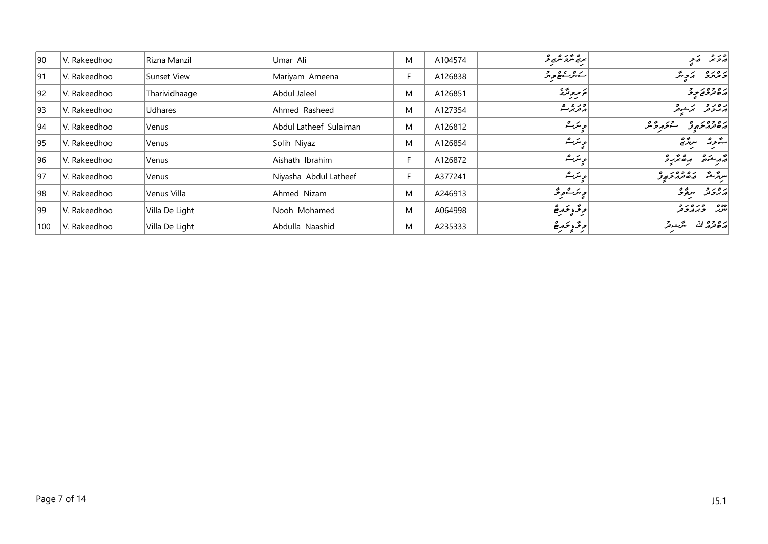| 90  | V. Rakeedhoo | Rizna Manzil       | Umar Ali               | M | A104574 | ىرىج ئىز چە ھېرى بى | أور و المحمو                         |
|-----|--------------|--------------------|------------------------|---|---------|---------------------|--------------------------------------|
| 91  | V. Rakeedhoo | <b>Sunset View</b> | Mariyam Ameena         |   | A126838 | سەمىر شەھ ورتر      | دەرە ئەجىگە                          |
| 92  | V. Rakeedhoo | Tharividhaage      | Abdul Jaleel           | M | A126851 | پر بر بر تر د       | ر ە دەر د                            |
| 93  | V. Rakeedhoo | <b>Udhares</b>     | Ahmed Rasheed          | M | A127354 | دېږې ه              | رەرو كەشىر                           |
| 94  | V. Rakeedhoo | Venus              | Abdul Latheef Sulaiman | M | A126812 | امويترثه            | ر ه د ه د په و<br><i>شۇم</i> ۇش      |
| 95  | V. Rakeedhoo | Venus              | Solih Niyaz            | M | A126854 | ءِ سَرَتْہ          | ستحرش<br>سرگرمج                      |
| 96  | V. Rakeedhoo | Venus              | Aishath Ibrahim        |   | A126872 | ءِ سَرَتْہ          | أمام شوه ما محرب                     |
| 97  | V. Rakeedhoo | Venus              | Niyasha Abdul Latheef  |   | A377241 | ءِ سَرَتْہ          | ر ٥ ۶ ٥ ٥ ر<br>در ۱۵ درج و<br>سرگرشگ |
| 98  | V. Rakeedhoo | Venus Villa        | Ahmed Nizam            | M | A246913 | ءِ سَرَسْهُ ء مَّرَ | پر ژبر ژ<br>سرچوگر                   |
| 99  | V. Rakeedhoo | Villa De Light     | Nooh Mohamed           | M | A064998 | وقحه وَ مَره        | دده وره رو<br>سربر وبرمرونر          |
| 100 | V. Rakeedhoo | Villa De Light     | Abdulla Naashid        | M | A235333 | موقحه و محرم هو     | 2000 الله<br>سرٌرشہورؒ               |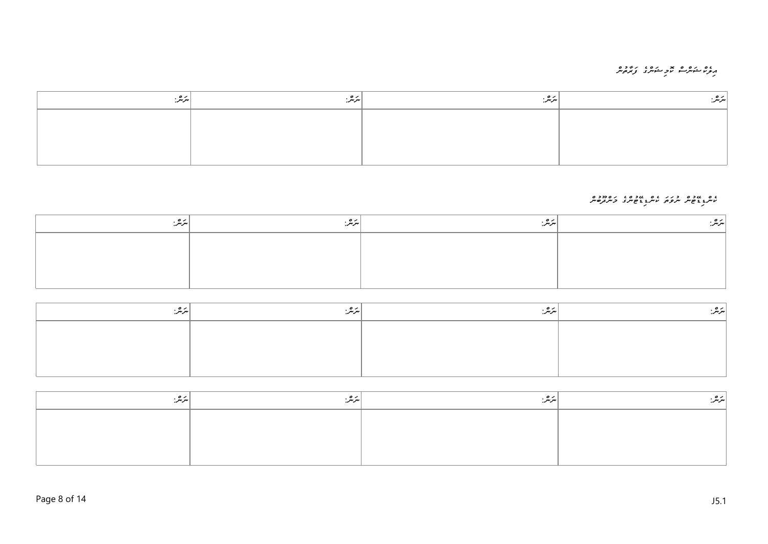## *w7qAn8m? sCw7mRo>u; wEw7mRw;sBo<*

| ' مرمر | 'يئرىثر: |
|--------|----------|
|        |          |
|        |          |
|        |          |

## *w7q9r@w7m> sCw7qHtFoFw7s; mAm=q7 w7qHtFoFw7s;*

| ىر تە | $\mathcal{O} \times$<br>$\sim$ | $\sim$<br>. . | لترنثر |
|-------|--------------------------------|---------------|--------|
|       |                                |               |        |
|       |                                |               |        |
|       |                                |               |        |

| انترنثر: | $^{\circ}$ | يبرهر | $^{\circ}$<br>سرسر |
|----------|------------|-------|--------------------|
|          |            |       |                    |
|          |            |       |                    |
|          |            |       |                    |

| ىر ھر: | $^{\circ}$ | $^{\circ}$<br>, | o <i>i</i> |
|--------|------------|-----------------|------------|
|        |            |                 |            |
|        |            |                 |            |
|        |            |                 |            |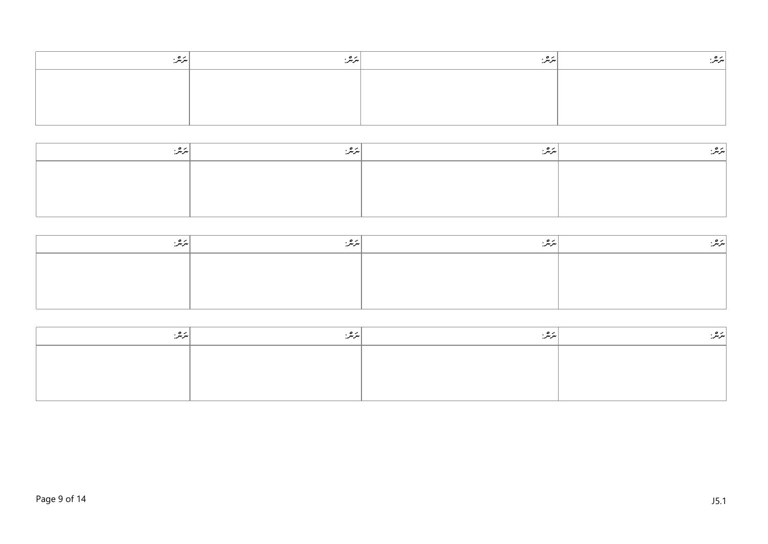| يره. | ο. | ا ير ه |  |
|------|----|--------|--|
|      |    |        |  |
|      |    |        |  |
|      |    |        |  |

| <sup>.</sup> سرسر. |  |
|--------------------|--|
|                    |  |
|                    |  |
|                    |  |

| ىئرىتر. | $\sim$ | ا بر هه. | لىرىش |
|---------|--------|----------|-------|
|         |        |          |       |
|         |        |          |       |
|         |        |          |       |

| 。<br>مرس. | $\overline{\phantom{a}}$<br>مر مىر | ىرىر |
|-----------|------------------------------------|------|
|           |                                    |      |
|           |                                    |      |
|           |                                    |      |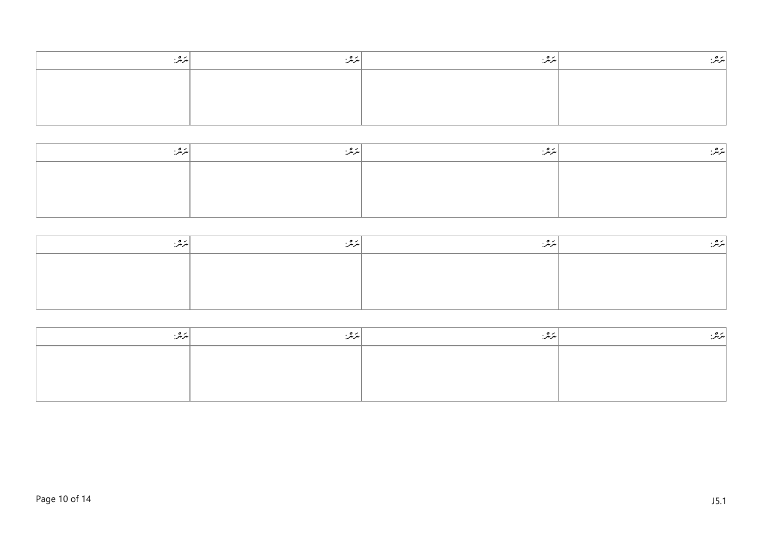| ير هو . | $\overline{\phantom{a}}$ | يرمر | اير هنه. |
|---------|--------------------------|------|----------|
|         |                          |      |          |
|         |                          |      |          |
|         |                          |      |          |

| ىر تىر: | $\circ$ $\sim$<br>" سرسر . | يبرحه | o . |
|---------|----------------------------|-------|-----|
|         |                            |       |     |
|         |                            |       |     |
|         |                            |       |     |

| انترنثر: | ر ه |  |
|----------|-----|--|
|          |     |  |
|          |     |  |
|          |     |  |

|  | . ه |
|--|-----|
|  |     |
|  |     |
|  |     |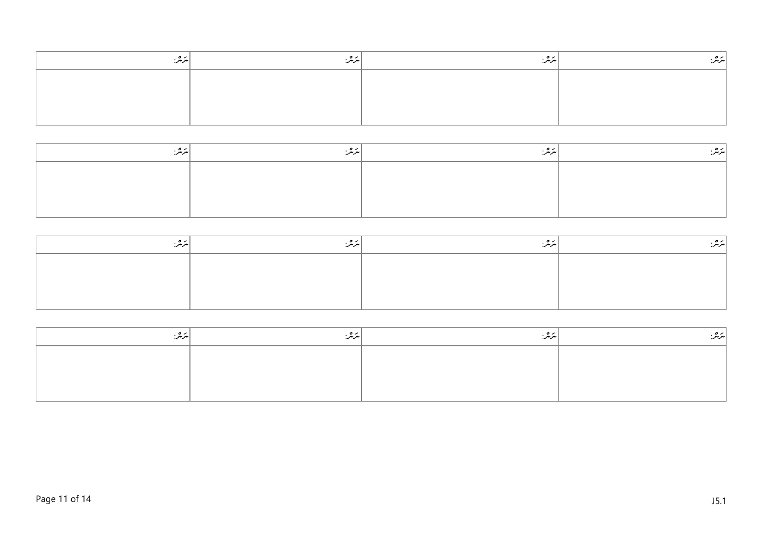| ير هو . | $\overline{\phantom{a}}$ | يرمر | اير هنه. |
|---------|--------------------------|------|----------|
|         |                          |      |          |
|         |                          |      |          |
|         |                          |      |          |

| ىر تىر: | $\circ$ $\sim$<br>" سرسر . | يبرحه | o . |
|---------|----------------------------|-------|-----|
|         |                            |       |     |
|         |                            |       |     |
|         |                            |       |     |

| ابترىثر: | $^{\circ}$<br>. . |  |
|----------|-------------------|--|
|          |                   |  |
|          |                   |  |
|          |                   |  |

|  | . ه |
|--|-----|
|  |     |
|  |     |
|  |     |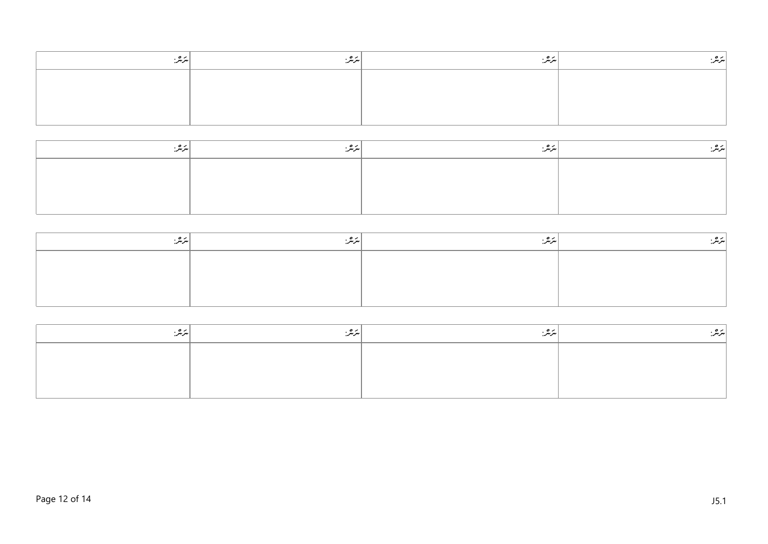| $\cdot$ | 。 | $\frac{\circ}{\cdot}$ | $\sim$<br>سرسر |
|---------|---|-----------------------|----------------|
|         |   |                       |                |
|         |   |                       |                |
|         |   |                       |                |

| ايرعر: | ر ه<br>. . |  |
|--------|------------|--|
|        |            |  |
|        |            |  |
|        |            |  |

| بر ه | . ه | $\overline{\phantom{0}}$<br>سرسر |  |
|------|-----|----------------------------------|--|
|      |     |                                  |  |
|      |     |                                  |  |
|      |     |                                  |  |

| 。<br>. س | ىرىىر |  |
|----------|-------|--|
|          |       |  |
|          |       |  |
|          |       |  |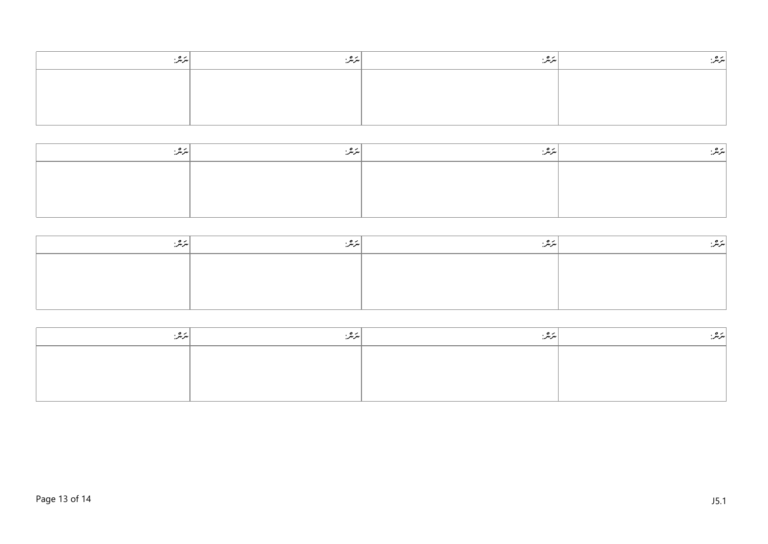| ير هو . | $\overline{\phantom{a}}$ | يرمر | اير هنه. |
|---------|--------------------------|------|----------|
|         |                          |      |          |
|         |                          |      |          |
|         |                          |      |          |

| ىر تىر: | $\circ$ $\sim$<br>" سرسر . | يبرحه | o . |
|---------|----------------------------|-------|-----|
|         |                            |       |     |
|         |                            |       |     |
|         |                            |       |     |

| انترنثر: | ر ه |  |
|----------|-----|--|
|          |     |  |
|          |     |  |
|          |     |  |

|  | . ه |
|--|-----|
|  |     |
|  |     |
|  |     |